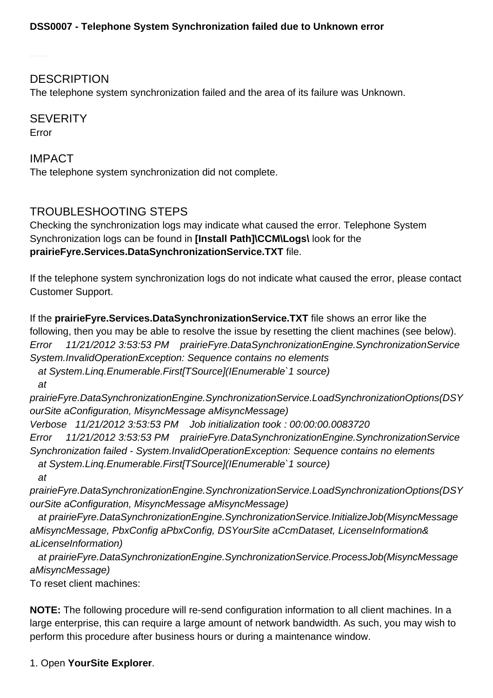**DESCRIPTION** 

The telephone system synchronization failed and the area of its failure was Unknown.

**SEVERITY** Error

IMPACT The telephone system synchronization did not complete.

## TROUBLESHOOTING STEPS

Checking the synchronization logs may indicate what caused the error. Telephone System Synchronization logs can be found in **[Install Path]\CCM\Logs\** look for the **prairieFyre.Services.DataSynchronizationService.TXT** file.

If the telephone system synchronization logs do not indicate what caused the error, please contact Customer Support.

If the **prairieFyre.Services.DataSynchronizationService.TXT** file shows an error like the following, then you may be able to resolve the issue by resetting the client machines (see below). Error 11/21/2012 3:53:53 PM prairieFyre.DataSynchronizationEngine.SynchronizationService System.InvalidOperationException: Sequence contains no elements at System.Linq.Enumerable.First[TSource](IEnumerable`1 source) at prairieFyre.DataSynchronizationEngine.SynchronizationService.LoadSynchronizationOptions(DSY ourSite aConfiguration, MisyncMessage aMisyncMessage) Verbose 11/21/2012 3:53:53 PM Job initialization took : 00:00:00.0083720 Error 11/21/2012 3:53:53 PM prairieFyre.DataSynchronizationEngine.SynchronizationService Synchronization failed - System.InvalidOperationException: Sequence contains no elements at System.Linq.Enumerable.First[TSource](IEnumerable`1 source) at prairieFyre.DataSynchronizationEngine.SynchronizationService.LoadSynchronizationOptions(DSY

ourSite aConfiguration, MisyncMessage aMisyncMessage)

 at prairieFyre.DataSynchronizationEngine.SynchronizationService.InitializeJob(MisyncMessage aMisyncMessage, PbxConfig aPbxConfig, DSYourSite aCcmDataset, LicenseInformation& aLicenseInformation)

 at prairieFyre.DataSynchronizationEngine.SynchronizationService.ProcessJob(MisyncMessage aMisyncMessage)

To reset client machines:

**NOTE:** The following procedure will re-send configuration information to all client machines. In a large enterprise, this can require a large amount of network bandwidth. As such, you may wish to perform this procedure after business hours or during a maintenance window.

1. Open **YourSite Explorer**.